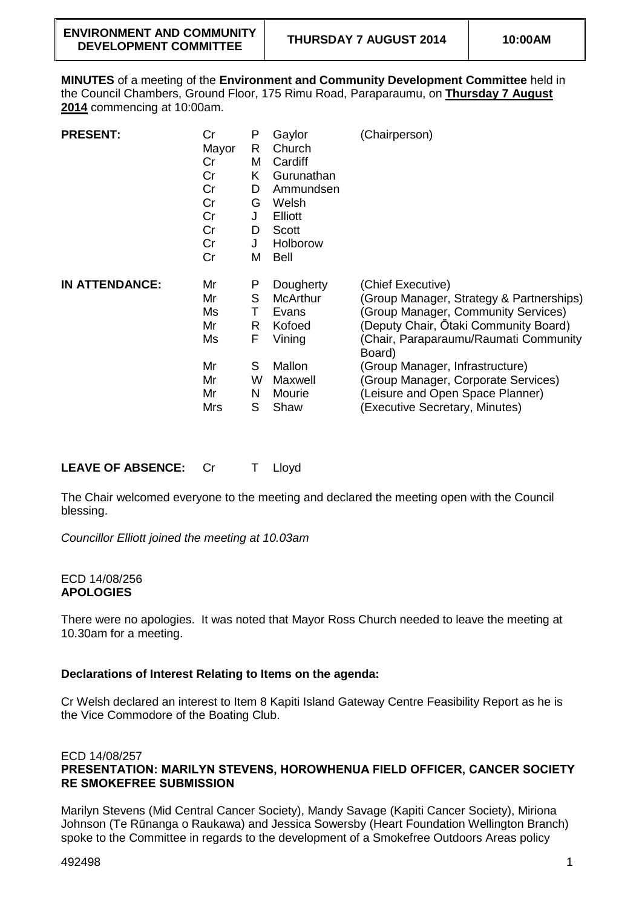**MINUTES** of a meeting of the **Environment and Community Development Committee** held in the Council Chambers, Ground Floor, 175 Rimu Road, Paraparaumu, on **Thursday 7 August 2014** commencing at 10:00am.

| <b>PRESENT:</b>       | Cr<br>Mayor<br>Cr<br>Cr<br>Cr<br>Cr<br>Cr<br>Cr<br>Cr<br>Cr | P<br>R<br>M<br>K<br>D<br>G<br>J<br>D<br>J<br>M | Gaylor<br>Church<br>Cardiff<br>Gurunathan<br>Ammundsen<br>Welsh<br>Elliott<br>Scott<br>Holborow<br><b>Bell</b> | (Chairperson)                                                                                                                                                                                                                                                                                                                                    |
|-----------------------|-------------------------------------------------------------|------------------------------------------------|----------------------------------------------------------------------------------------------------------------|--------------------------------------------------------------------------------------------------------------------------------------------------------------------------------------------------------------------------------------------------------------------------------------------------------------------------------------------------|
| <b>IN ATTENDANCE:</b> | Mr<br>Mr<br>Ms<br>Mr<br>Ms<br>Mr<br>Mr<br>Mr<br>Mrs         | P<br>S<br>Τ<br>R<br>F<br>S<br>w<br>N<br>S      | Dougherty<br><b>McArthur</b><br>Evans<br>Kofoed<br>Vining<br>Mallon<br>Maxwell<br>Mourie<br>Shaw               | (Chief Executive)<br>(Group Manager, Strategy & Partnerships)<br>(Group Manager, Community Services)<br>(Deputy Chair, Otaki Community Board)<br>(Chair, Paraparaumu/Raumati Community<br>Board)<br>(Group Manager, Infrastructure)<br>(Group Manager, Corporate Services)<br>(Leisure and Open Space Planner)<br>(Executive Secretary, Minutes) |

**LEAVE OF ABSENCE:** Cr T Lloyd

The Chair welcomed everyone to the meeting and declared the meeting open with the Council blessing.

*Councillor Elliott joined the meeting at 10.03am*

### ECD 14/08/256 **APOLOGIES**

There were no apologies. It was noted that Mayor Ross Church needed to leave the meeting at 10.30am for a meeting.

# **Declarations of Interest Relating to Items on the agenda:**

Cr Welsh declared an interest to Item 8 Kapiti Island Gateway Centre Feasibility Report as he is the Vice Commodore of the Boating Club.

### ECD 14/08/257 **PRESENTATION: MARILYN STEVENS, HOROWHENUA FIELD OFFICER, CANCER SOCIETY RE SMOKEFREE SUBMISSION**

Marilyn Stevens (Mid Central Cancer Society), Mandy Savage (Kapiti Cancer Society), Miriona Johnson (Te Rūnanga o Raukawa) and Jessica Sowersby (Heart Foundation Wellington Branch) spoke to the Committee in regards to the development of a Smokefree Outdoors Areas policy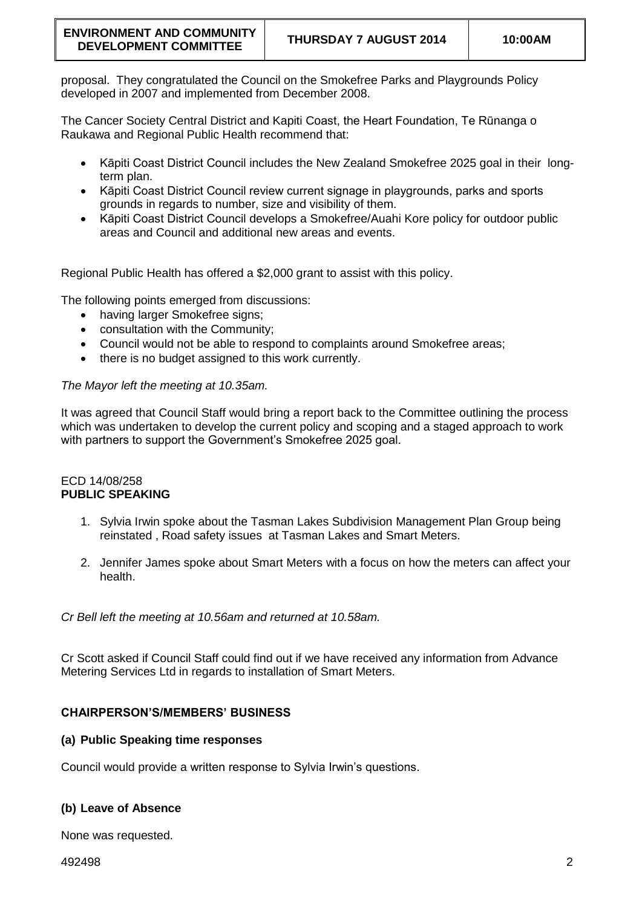proposal. They congratulated the Council on the Smokefree Parks and Playgrounds Policy developed in 2007 and implemented from December 2008.

The Cancer Society Central District and Kapiti Coast, the Heart Foundation, Te Rūnanga o Raukawa and Regional Public Health recommend that:

- Kāpiti Coast District Council includes the New Zealand Smokefree 2025 goal in their longterm plan.
- Kāpiti Coast District Council review current signage in playgrounds, parks and sports grounds in regards to number, size and visibility of them.
- Kāpiti Coast District Council develops a Smokefree/Auahi Kore policy for outdoor public areas and Council and additional new areas and events.

Regional Public Health has offered a \$2,000 grant to assist with this policy.

The following points emerged from discussions:

- having larger Smokefree signs:
- consultation with the Community;
- Council would not be able to respond to complaints around Smokefree areas;
- there is no budget assigned to this work currently.

# *The Mayor left the meeting at 10.35am.*

It was agreed that Council Staff would bring a report back to the Committee outlining the process which was undertaken to develop the current policy and scoping and a staged approach to work with partners to support the Government's Smokefree 2025 goal.

### ECD 14/08/258 **PUBLIC SPEAKING**

- 1. Sylvia Irwin spoke about the Tasman Lakes Subdivision Management Plan Group being reinstated , Road safety issues at Tasman Lakes and Smart Meters.
- 2. Jennifer James spoke about Smart Meters with a focus on how the meters can affect your health.

*Cr Bell left the meeting at 10.56am and returned at 10.58am.*

Cr Scott asked if Council Staff could find out if we have received any information from Advance Metering Services Ltd in regards to installation of Smart Meters.

# **CHAIRPERSON'S/MEMBERS' BUSINESS**

# **(a) Public Speaking time responses**

Council would provide a written response to Sylvia Irwin's questions.

# **(b) Leave of Absence**

None was requested.

492498 2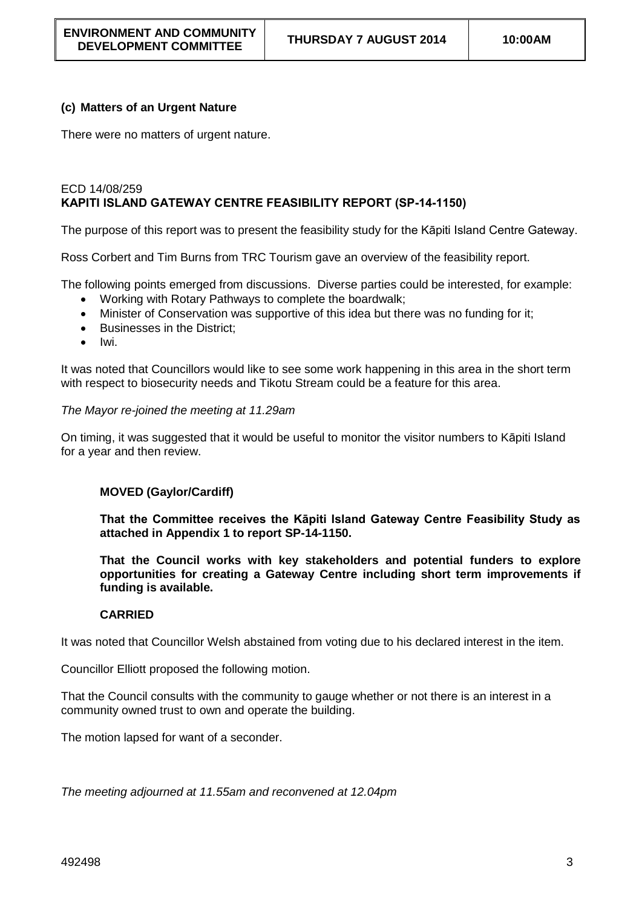# **(c) Matters of an Urgent Nature**

There were no matters of urgent nature.

### ECD 14/08/259 **KAPITI ISLAND GATEWAY CENTRE FEASIBILITY REPORT (SP-14-1150)**

The purpose of this report was to present the feasibility study for the Kāpiti Island Centre Gateway.

Ross Corbert and Tim Burns from TRC Tourism gave an overview of the feasibility report.

The following points emerged from discussions. Diverse parties could be interested, for example:

- Working with Rotary Pathways to complete the boardwalk;
- Minister of Conservation was supportive of this idea but there was no funding for it;
- Businesses in the District:
- $\bullet$  Iwi.

It was noted that Councillors would like to see some work happening in this area in the short term with respect to biosecurity needs and Tikotu Stream could be a feature for this area.

### *The Mayor re-joined the meeting at 11.29am*

On timing, it was suggested that it would be useful to monitor the visitor numbers to Kāpiti Island for a year and then review.

# **MOVED (Gaylor/Cardiff)**

**That the Committee receives the Kāpiti Island Gateway Centre Feasibility Study as attached in Appendix 1 to report SP-14-1150.** 

**That the Council works with key stakeholders and potential funders to explore opportunities for creating a Gateway Centre including short term improvements if funding is available.**

# **CARRIED**

It was noted that Councillor Welsh abstained from voting due to his declared interest in the item.

Councillor Elliott proposed the following motion.

That the Council consults with the community to gauge whether or not there is an interest in a community owned trust to own and operate the building.

The motion lapsed for want of a seconder.

*The meeting adjourned at 11.55am and reconvened at 12.04pm*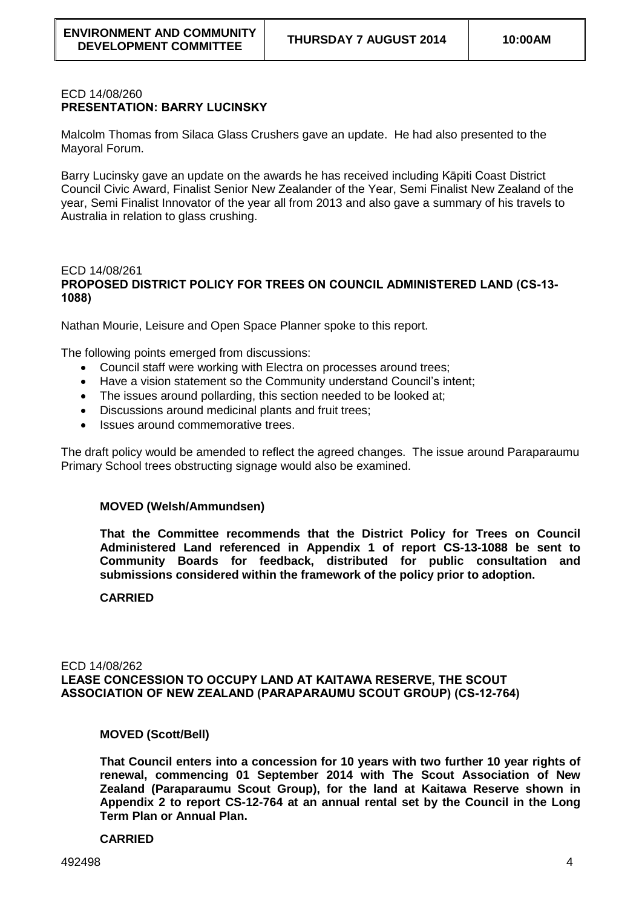### ECD 14/08/260 **PRESENTATION: BARRY LUCINSKY**

Malcolm Thomas from Silaca Glass Crushers gave an update. He had also presented to the Mayoral Forum.

Barry Lucinsky gave an update on the awards he has received including Kāpiti Coast District Council Civic Award, Finalist Senior New Zealander of the Year, Semi Finalist New Zealand of the year, Semi Finalist Innovator of the year all from 2013 and also gave a summary of his travels to Australia in relation to glass crushing.

### ECD 14/08/261 **PROPOSED DISTRICT POLICY FOR TREES ON COUNCIL ADMINISTERED LAND (CS-13- 1088)**

Nathan Mourie, Leisure and Open Space Planner spoke to this report.

The following points emerged from discussions:

- Council staff were working with Electra on processes around trees;
- Have a vision statement so the Community understand Council's intent;
- The issues around pollarding, this section needed to be looked at:
- Discussions around medicinal plants and fruit trees;
- Issues around commemorative trees.

The draft policy would be amended to reflect the agreed changes. The issue around Paraparaumu Primary School trees obstructing signage would also be examined.

#### **MOVED (Welsh/Ammundsen)**

**That the Committee recommends that the District Policy for Trees on Council Administered Land referenced in Appendix 1 of report CS-13-1088 be sent to Community Boards for feedback, distributed for public consultation and submissions considered within the framework of the policy prior to adoption.**

#### **CARRIED**

ECD 14/08/262 **LEASE CONCESSION TO OCCUPY LAND AT KAITAWA RESERVE, THE SCOUT ASSOCIATION OF NEW ZEALAND (PARAPARAUMU SCOUT GROUP) (CS-12-764)**

#### **MOVED (Scott/Bell)**

**That Council enters into a concession for 10 years with two further 10 year rights of renewal, commencing 01 September 2014 with The Scout Association of New Zealand (Paraparaumu Scout Group), for the land at Kaitawa Reserve shown in Appendix 2 to report CS-12-764 at an annual rental set by the Council in the Long Term Plan or Annual Plan.**

#### **CARRIED**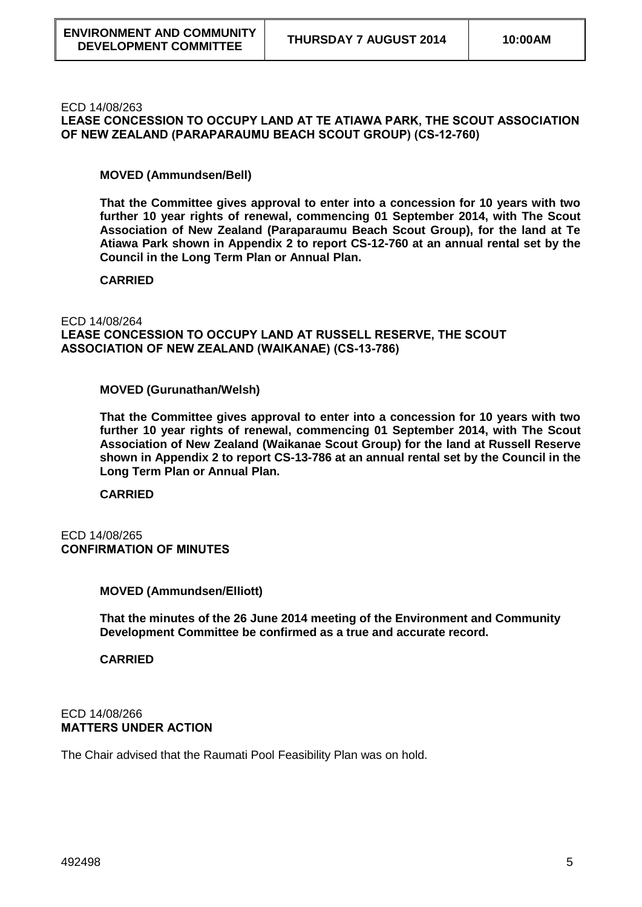#### ECD 14/08/263

**LEASE CONCESSION TO OCCUPY LAND AT TE ATIAWA PARK, THE SCOUT ASSOCIATION OF NEW ZEALAND (PARAPARAUMU BEACH SCOUT GROUP) (CS-12-760)**

### **MOVED (Ammundsen/Bell)**

**That the Committee gives approval to enter into a concession for 10 years with two further 10 year rights of renewal, commencing 01 September 2014, with The Scout Association of New Zealand (Paraparaumu Beach Scout Group), for the land at Te Atiawa Park shown in Appendix 2 to report CS-12-760 at an annual rental set by the Council in the Long Term Plan or Annual Plan.**

### **CARRIED**

#### ECD 14/08/264

**LEASE CONCESSION TO OCCUPY LAND AT RUSSELL RESERVE, THE SCOUT ASSOCIATION OF NEW ZEALAND (WAIKANAE) (CS-13-786)**

#### **MOVED (Gurunathan/Welsh)**

**That the Committee gives approval to enter into a concession for 10 years with two further 10 year rights of renewal, commencing 01 September 2014, with The Scout Association of New Zealand (Waikanae Scout Group) for the land at Russell Reserve shown in Appendix 2 to report CS-13-786 at an annual rental set by the Council in the Long Term Plan or Annual Plan.**

**CARRIED**

### ECD 14/08/265 **CONFIRMATION OF MINUTES**

# **MOVED (Ammundsen/Elliott)**

**That the minutes of the 26 June 2014 meeting of the Environment and Community Development Committee be confirmed as a true and accurate record.** 

#### **CARRIED**

#### ECD 14/08/266 **MATTERS UNDER ACTION**

The Chair advised that the Raumati Pool Feasibility Plan was on hold.